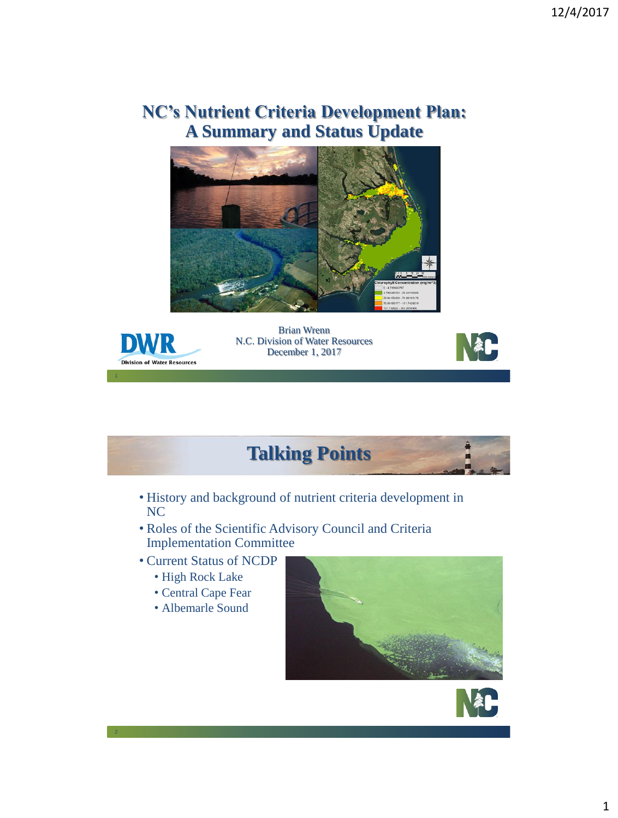## **NC's Nutrient Criteria Development Plan: A Summary and Status Update**





Brian Wrenn N.C. Division of Water Resources December 1, 2017





- History and background of nutrient criteria development in NC
- Roles of the Scientific Advisory Council and Criteria Implementation Committee
- Current Status of NCDP
	- High Rock Lake
	- Central Cape Fear
	- Albemarle Sound

2



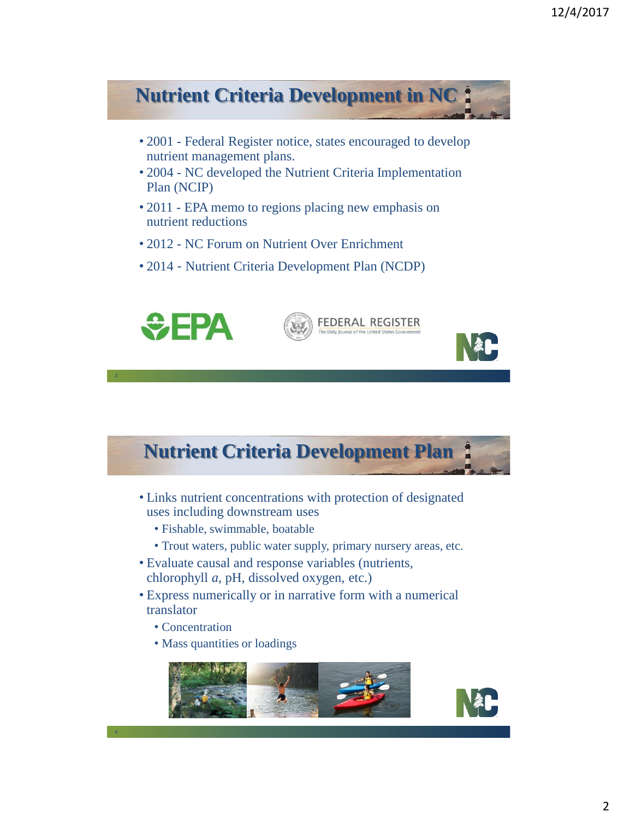## **Nutrient Criteria Development in NC** • 2001 - Federal Register notice, states encouraged to develop nutrient management plans. • 2004 - NC developed the Nutrient Criteria Implementation Plan (NCIP) • 2011 - EPA memo to regions placing new emphasis on nutrient reductions • 2012 - NC Forum on Nutrient Over Enrichment • 2014 - Nutrient Criteria Development Plan (NCDP)  $\div$ EPA **FEDERAL REGISTER**

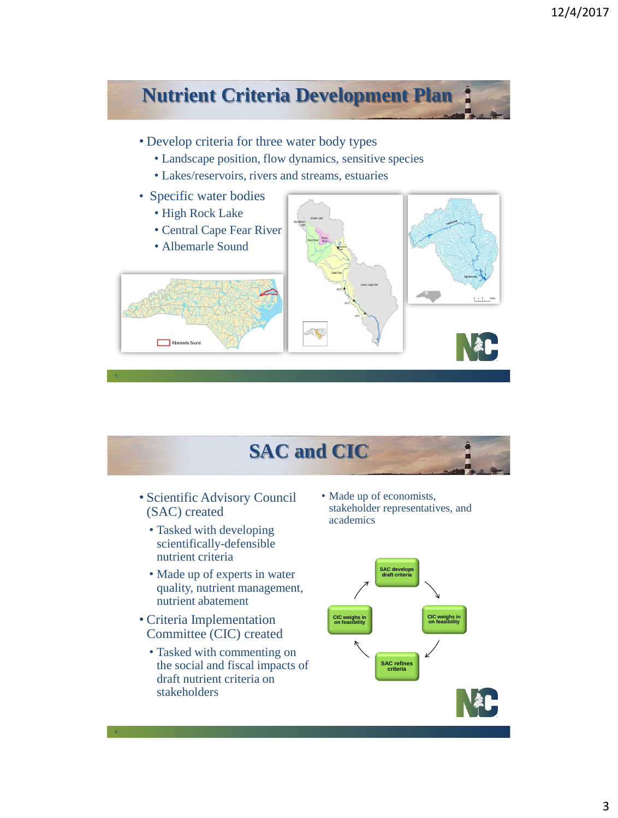

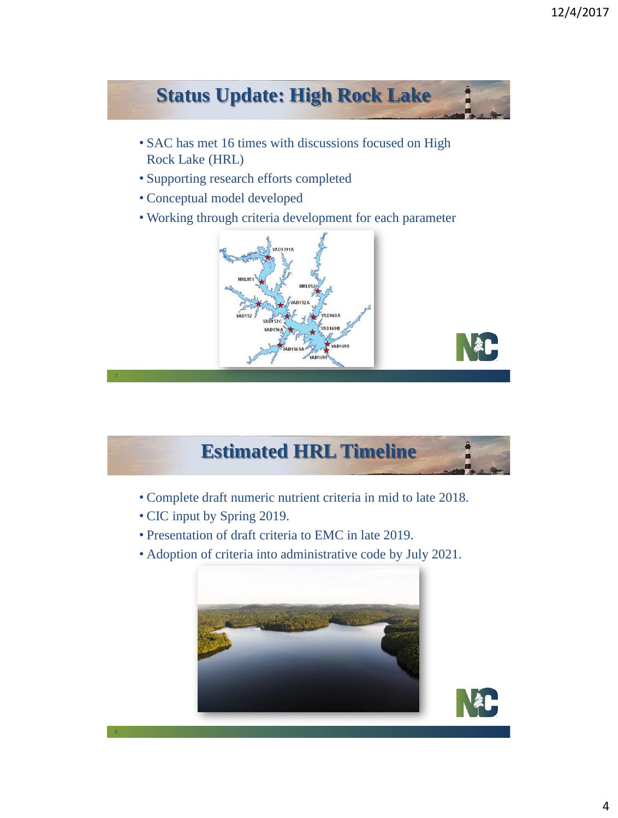## **Status Update: High Rock Lake** • SAC has met 16 times with discussions focused on High Rock Lake (HRL) • Supporting research efforts completed • Conceptual model developed • Working through criteria development for each parameter



103101

- Complete draft numeric nutrient criteria in mid to late 2018.
- CIC input by Spring 2019.

8

- Presentation of draft criteria to EMC in late 2019.
- Adoption of criteria into administrative code by July 2021.

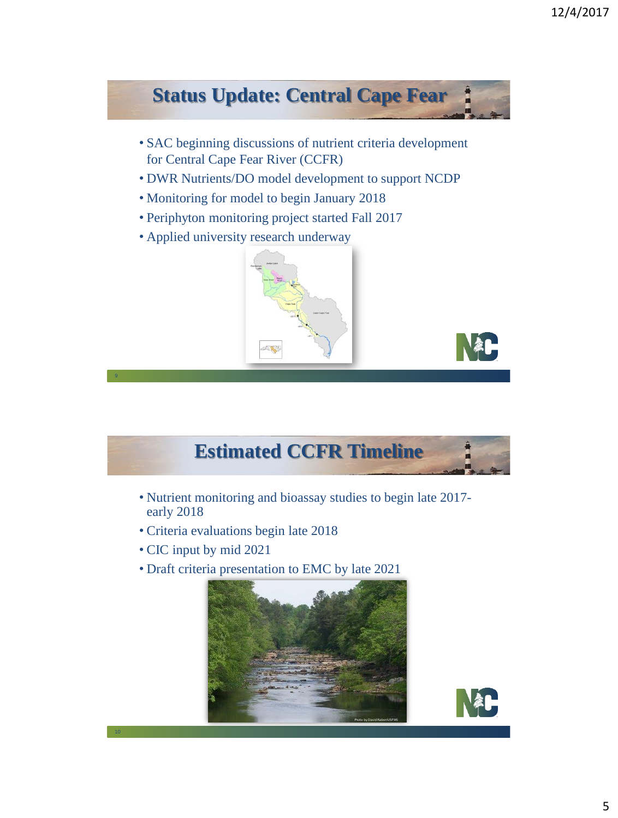## **Status Update: Central Cape Fear** • SAC beginning discussions of nutrient criteria development for Central Cape Fear River (CCFR) • DWR Nutrients/DO model development to support NCDP • Monitoring for model to begin January 2018 • Periphyton monitoring project started Fall 2017 • Applied university research underway



- Nutrient monitoring and bioassay studies to begin late 2017 early 2018
- Criteria evaluations begin late 2018
- CIC input by mid 2021
- Draft criteria presentation to EMC by late 2021



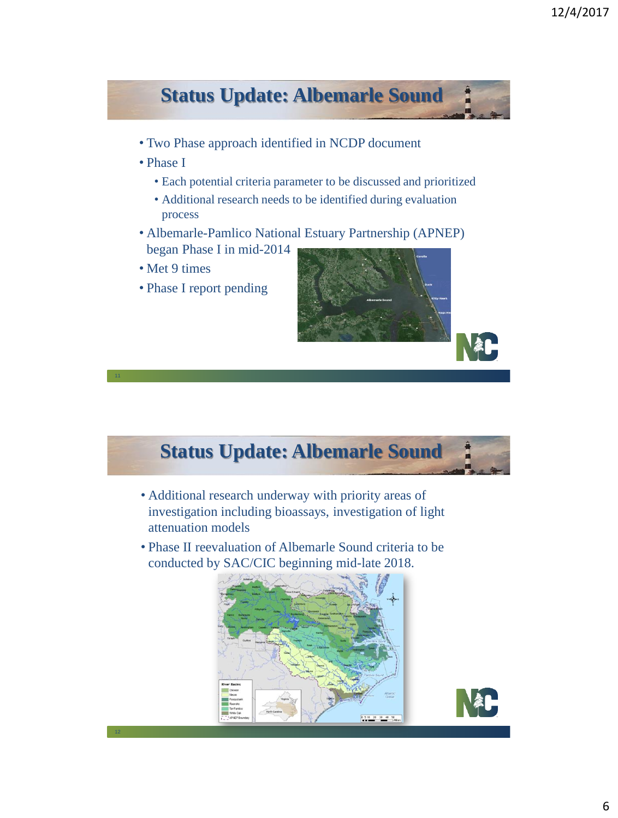



- Additional research underway with priority areas of investigation including bioassays, investigation of light attenuation models
- Phase II reevaluation of Albemarle Sound criteria to be conducted by SAC/CIC beginning mid-late 2018.



12